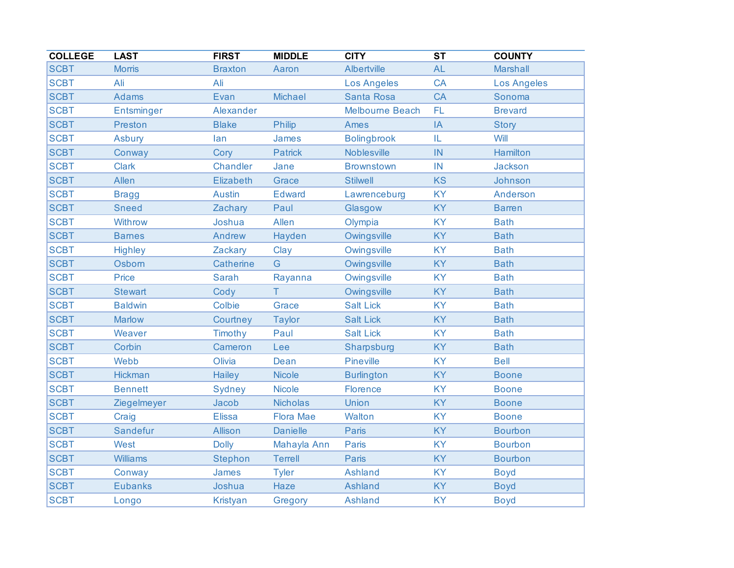| <b>COLLEGE</b> | <b>LAST</b>       | <b>FIRST</b>    | <b>MIDDLE</b>    | <b>CITY</b>            | $\overline{\text{ST}}$ | <b>COUNTY</b>      |
|----------------|-------------------|-----------------|------------------|------------------------|------------------------|--------------------|
| <b>SCBT</b>    | <b>Morris</b>     | <b>Braxton</b>  | Aaron            | Albertville            | <b>AL</b>              | <b>Marshall</b>    |
| <b>SCBT</b>    | Ali               | Ali             |                  | <b>Los Angeles</b>     | <b>CA</b>              | <b>Los Angeles</b> |
| <b>SCBT</b>    | <b>Adams</b>      | Evan            | <b>Michael</b>   | <b>Santa Rosa</b>      | <b>CA</b>              | Sonoma             |
| <b>SCBT</b>    | <b>Entsminger</b> | Alexander       |                  | <b>Melbourne Beach</b> | FL                     | <b>Brevard</b>     |
| <b>SCBT</b>    | <b>Preston</b>    | <b>Blake</b>    | Philip           | Ames                   | IA                     | <b>Story</b>       |
| <b>SCBT</b>    | Asbury            | lan             | James            | <b>Bolingbrook</b>     | IL                     | Will               |
| <b>SCBT</b>    | Conway            | Cory            | <b>Patrick</b>   | <b>Noblesville</b>     | IN                     | Hamilton           |
| <b>SCBT</b>    | <b>Clark</b>      | Chandler        | Jane             | <b>Brownstown</b>      | IN                     | Jackson            |
| <b>SCBT</b>    | Allen             | Elizabeth       | Grace            | <b>Stilwell</b>        | <b>KS</b>              | Johnson            |
| <b>SCBT</b>    | <b>Bragg</b>      | <b>Austin</b>   | <b>Edward</b>    | Lawrenceburg           | <b>KY</b>              | Anderson           |
| <b>SCBT</b>    | <b>Sneed</b>      | Zachary         | Paul             | Glasgow                | <b>KY</b>              | <b>Barren</b>      |
| <b>SCBT</b>    | Withrow           | Joshua          | Allen            | Olympia                | <b>KY</b>              | <b>Bath</b>        |
| <b>SCBT</b>    | <b>Barnes</b>     | Andrew          | Hayden           | Owingsville            | <b>KY</b>              | <b>Bath</b>        |
| <b>SCBT</b>    | <b>Highley</b>    | Zackary         | Clay             | Owingsville            | <b>KY</b>              | <b>Bath</b>        |
| <b>SCBT</b>    | Osborn            | Catherine       | G                | Owingsville            | <b>KY</b>              | <b>Bath</b>        |
| <b>SCBT</b>    | Price             | <b>Sarah</b>    | Rayanna          | Owingsville            | <b>KY</b>              | <b>Bath</b>        |
| <b>SCBT</b>    | <b>Stewart</b>    | Cody            | T                | Owingsville            | <b>KY</b>              | <b>Bath</b>        |
| <b>SCBT</b>    | <b>Baldwin</b>    | Colbie          | Grace            | <b>Salt Lick</b>       | <b>KY</b>              | <b>Bath</b>        |
| <b>SCBT</b>    | <b>Marlow</b>     | Courtney        | <b>Taylor</b>    | <b>Salt Lick</b>       | <b>KY</b>              | <b>Bath</b>        |
| <b>SCBT</b>    | Weaver            | Timothy         | Paul             | <b>Salt Lick</b>       | <b>KY</b>              | <b>Bath</b>        |
| <b>SCBT</b>    | Corbin            | Cameron         | Lee              | Sharpsburg             | <b>KY</b>              | <b>Bath</b>        |
| <b>SCBT</b>    | Webb              | Olivia          | Dean             | Pineville              | <b>KY</b>              | <b>Bell</b>        |
| <b>SCBT</b>    | Hickman           | Hailey          | <b>Nicole</b>    | <b>Burlington</b>      | <b>KY</b>              | <b>Boone</b>       |
| <b>SCBT</b>    | <b>Bennett</b>    | <b>Sydney</b>   | <b>Nicole</b>    | Florence               | <b>KY</b>              | <b>Boone</b>       |
| <b>SCBT</b>    | Ziegelmeyer       | Jacob           | <b>Nicholas</b>  | Union                  | <b>KY</b>              | <b>Boone</b>       |
| <b>SCBT</b>    | Craig             | <b>Elissa</b>   | <b>Flora Mae</b> | <b>Walton</b>          | <b>KY</b>              | <b>Boone</b>       |
| <b>SCBT</b>    | Sandefur          | Allison         | <b>Danielle</b>  | Paris                  | <b>KY</b>              | <b>Bourbon</b>     |
| <b>SCBT</b>    | West              | <b>Dolly</b>    | Mahayla Ann      | Paris                  | <b>KY</b>              | <b>Bourbon</b>     |
| <b>SCBT</b>    | <b>Williams</b>   | Stephon         | <b>Terrell</b>   | Paris                  | <b>KY</b>              | <b>Bourbon</b>     |
| <b>SCBT</b>    | Conway            | James           | <b>Tyler</b>     | <b>Ashland</b>         | <b>KY</b>              | <b>Boyd</b>        |
| <b>SCBT</b>    | <b>Eubanks</b>    | Joshua          | Haze             | <b>Ashland</b>         | <b>KY</b>              | <b>Boyd</b>        |
| <b>SCBT</b>    | Longo             | <b>Kristyan</b> | Gregory          | <b>Ashland</b>         | <b>KY</b>              | <b>Boyd</b>        |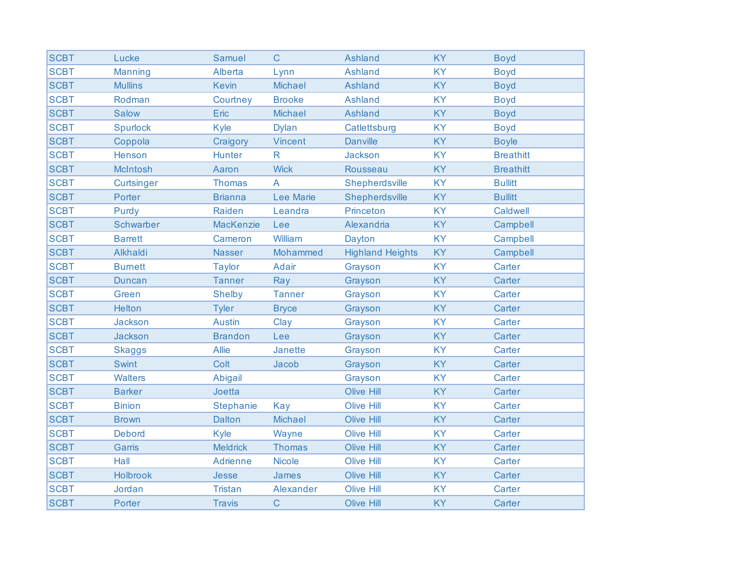| <b>SCBT</b> | Lucke             | <b>Samuel</b>    | $\mathsf{C}$     | <b>Ashland</b>          | <b>KY</b> | <b>Boyd</b>      |
|-------------|-------------------|------------------|------------------|-------------------------|-----------|------------------|
| <b>SCBT</b> | <b>Manning</b>    | Alberta          | Lynn             | <b>Ashland</b>          | <b>KY</b> | <b>Boyd</b>      |
| <b>SCBT</b> | <b>Mullins</b>    | <b>Kevin</b>     | <b>Michael</b>   | Ashland                 | <b>KY</b> | <b>Boyd</b>      |
| <b>SCBT</b> | Rodman            | Courtney         | <b>Brooke</b>    | <b>Ashland</b>          | <b>KY</b> | <b>Boyd</b>      |
| <b>SCBT</b> | <b>Salow</b>      | Eric             | <b>Michael</b>   | <b>Ashland</b>          | <b>KY</b> | <b>Boyd</b>      |
| <b>SCBT</b> | <b>Spurlock</b>   | Kyle             | <b>Dylan</b>     | Catlettsburg            | <b>KY</b> | <b>Boyd</b>      |
| <b>SCBT</b> | Coppola           | Craigory         | <b>Vincent</b>   | <b>Danville</b>         | <b>KY</b> | <b>Boyle</b>     |
| <b>SCBT</b> | Henson            | <b>Hunter</b>    | $\mathsf{R}$     | <b>Jackson</b>          | <b>KY</b> | <b>Breathitt</b> |
| <b>SCBT</b> | McIntosh          | Aaron            | <b>Wick</b>      | Rousseau                | <b>KY</b> | <b>Breathitt</b> |
| <b>SCBT</b> | <b>Curtsinger</b> | <b>Thomas</b>    | $\overline{A}$   | Shepherdsville          | <b>KY</b> | <b>Bullitt</b>   |
| <b>SCBT</b> | Porter            | <b>Brianna</b>   | <b>Lee Marie</b> | Shepherdsville          | <b>KY</b> | <b>Bullitt</b>   |
| <b>SCBT</b> | Purdy             | Raiden           | Leandra          | Princeton               | <b>KY</b> | Caldwell         |
| <b>SCBT</b> | Schwarber         | <b>MacKenzie</b> | Lee              | Alexandria              | <b>KY</b> | Campbell         |
| <b>SCBT</b> | <b>Barrett</b>    | Cameron          | William          | Dayton                  | <b>KY</b> | Campbell         |
| <b>SCBT</b> | Alkhaldi          | <b>Nasser</b>    | Mohammed         | <b>Highland Heights</b> | <b>KY</b> | Campbell         |
| <b>SCBT</b> | <b>Burnett</b>    | <b>Taylor</b>    | Adair            | Grayson                 | <b>KY</b> | Carter           |
| <b>SCBT</b> | <b>Duncan</b>     | <b>Tanner</b>    | Ray              | Grayson                 | <b>KY</b> | Carter           |
| <b>SCBT</b> | Green             | <b>Shelby</b>    | <b>Tanner</b>    | Grayson                 | <b>KY</b> | Carter           |
| <b>SCBT</b> | <b>Helton</b>     | <b>Tyler</b>     | <b>Bryce</b>     | Grayson                 | <b>KY</b> | Carter           |
| <b>SCBT</b> | Jackson           | <b>Austin</b>    | Clay             | Grayson                 | <b>KY</b> | Carter           |
| <b>SCBT</b> | Jackson           | <b>Brandon</b>   | Lee              | Grayson                 | <b>KY</b> | Carter           |
| <b>SCBT</b> | <b>Skaggs</b>     | <b>Allie</b>     | <b>Janette</b>   | Grayson                 | <b>KY</b> | Carter           |
| <b>SCBT</b> | <b>Swint</b>      | Colt             | Jacob            | Grayson                 | <b>KY</b> | Carter           |
| <b>SCBT</b> | Walters           | Abigail          |                  | Grayson                 | <b>KY</b> | Carter           |
| <b>SCBT</b> | <b>Barker</b>     | Joetta           |                  | <b>Olive Hill</b>       | <b>KY</b> | Carter           |
| <b>SCBT</b> | <b>Binion</b>     | <b>Stephanie</b> | Kay              | <b>Olive Hill</b>       | <b>KY</b> | Carter           |
| <b>SCBT</b> | <b>Brown</b>      | <b>Dalton</b>    | <b>Michael</b>   | <b>Olive Hill</b>       | <b>KY</b> | Carter           |
| <b>SCBT</b> | <b>Debord</b>     | <b>Kyle</b>      | Wayne            | <b>Olive Hill</b>       | <b>KY</b> | Carter           |
| <b>SCBT</b> | Garris            | <b>Meldrick</b>  | <b>Thomas</b>    | Olive Hill              | <b>KY</b> | Carter           |
| <b>SCBT</b> | Hall              | Adrienne         | <b>Nicole</b>    | <b>Olive Hill</b>       | <b>KY</b> | Carter           |
| <b>SCBT</b> | Holbrook          | Jesse            | James            | <b>Olive Hill</b>       | <b>KY</b> | Carter           |
| <b>SCBT</b> | Jordan            | <b>Tristan</b>   | Alexander        | <b>Olive Hill</b>       | <b>KY</b> | Carter           |
| <b>SCBT</b> | Porter            | <b>Travis</b>    | $\mathsf C$      | <b>Olive Hill</b>       | <b>KY</b> | Carter           |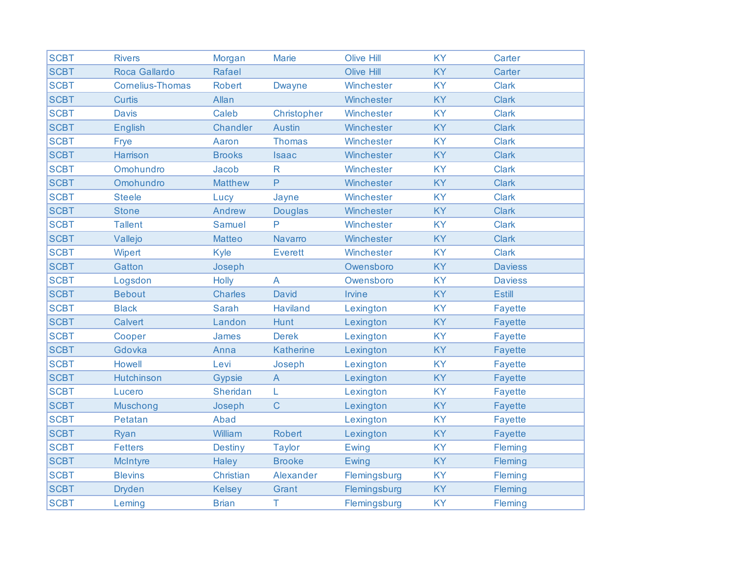| <b>SCBT</b> | <b>Rivers</b>           | Morgan         | <b>Marie</b>     | <b>Olive Hill</b> | <b>KY</b> | Carter         |
|-------------|-------------------------|----------------|------------------|-------------------|-----------|----------------|
| <b>SCBT</b> | Roca Gallardo           | Rafael         |                  | <b>Olive Hill</b> | <b>KY</b> | Carter         |
| <b>SCBT</b> | <b>Cornelius-Thomas</b> | <b>Robert</b>  | <b>Dwayne</b>    | Winchester        | <b>KY</b> | <b>Clark</b>   |
| <b>SCBT</b> | <b>Curtis</b>           | Allan          |                  | Winchester        | <b>KY</b> | <b>Clark</b>   |
| <b>SCBT</b> | <b>Davis</b>            | Caleb          | Christopher      | Winchester        | <b>KY</b> | <b>Clark</b>   |
| <b>SCBT</b> | <b>English</b>          | Chandler       | <b>Austin</b>    | Winchester        | <b>KY</b> | <b>Clark</b>   |
| <b>SCBT</b> | Frye                    | Aaron          | <b>Thomas</b>    | Winchester        | <b>KY</b> | <b>Clark</b>   |
| <b>SCBT</b> | Harrison                | <b>Brooks</b>  | <b>Isaac</b>     | Winchester        | <b>KY</b> | <b>Clark</b>   |
| <b>SCBT</b> | Omohundro               | Jacob          | $\mathsf{R}$     | Winchester        | <b>KY</b> | <b>Clark</b>   |
| <b>SCBT</b> | Omohundro               | <b>Matthew</b> | P                | Winchester        | <b>KY</b> | <b>Clark</b>   |
| <b>SCBT</b> | <b>Steele</b>           | Lucy           | Jayne            | Winchester        | <b>KY</b> | <b>Clark</b>   |
| <b>SCBT</b> | <b>Stone</b>            | Andrew         | <b>Douglas</b>   | Winchester        | <b>KY</b> | <b>Clark</b>   |
| <b>SCBT</b> | <b>Tallent</b>          | <b>Samuel</b>  | P                | Winchester        | <b>KY</b> | <b>Clark</b>   |
| <b>SCBT</b> | Vallejo                 | <b>Matteo</b>  | Navarro          | Winchester        | <b>KY</b> | <b>Clark</b>   |
| <b>SCBT</b> | Wipert                  | Kyle           | <b>Everett</b>   | Winchester        | <b>KY</b> | <b>Clark</b>   |
| <b>SCBT</b> | Gatton                  | Joseph         |                  | Owensboro         | <b>KY</b> | <b>Daviess</b> |
| <b>SCBT</b> | Logsdon                 | <b>Holly</b>   | $\overline{A}$   | Owensboro         | <b>KY</b> | <b>Daviess</b> |
| <b>SCBT</b> | <b>Bebout</b>           | <b>Charles</b> | David            | Irvine            | <b>KY</b> | <b>Estill</b>  |
| <b>SCBT</b> | <b>Black</b>            | <b>Sarah</b>   | <b>Haviland</b>  | Lexington         | <b>KY</b> | <b>Fayette</b> |
| <b>SCBT</b> | <b>Calvert</b>          | Landon         | Hunt             | Lexington         | <b>KY</b> | <b>Fayette</b> |
| <b>SCBT</b> | Cooper                  | James          | <b>Derek</b>     | Lexington         | <b>KY</b> | <b>Fayette</b> |
| <b>SCBT</b> | Gdovka                  | Anna           | <b>Katherine</b> | Lexington         | <b>KY</b> | <b>Fayette</b> |
| <b>SCBT</b> | <b>Howell</b>           | Levi           | Joseph           | Lexington         | <b>KY</b> | <b>Fayette</b> |
| <b>SCBT</b> | <b>Hutchinson</b>       | <b>Gypsie</b>  | $\mathsf{A}$     | Lexington         | <b>KY</b> | <b>Fayette</b> |
| <b>SCBT</b> | Lucero                  | Sheridan       | L                | Lexington         | <b>KY</b> | <b>Fayette</b> |
| <b>SCBT</b> | Muschong                | Joseph         | $\mathsf{C}$     | Lexington         | <b>KY</b> | <b>Fayette</b> |
| <b>SCBT</b> | Petatan                 | Abad           |                  | Lexington         | <b>KY</b> | <b>Fayette</b> |
| <b>SCBT</b> | Ryan                    | William        | <b>Robert</b>    | Lexington         | <b>KY</b> | <b>Fayette</b> |
| <b>SCBT</b> | <b>Fetters</b>          | <b>Destiny</b> | <b>Taylor</b>    | Ewing             | <b>KY</b> | Fleming        |
| <b>SCBT</b> | <b>McIntyre</b>         | <b>Haley</b>   | <b>Brooke</b>    | Ewing             | <b>KY</b> | Fleming        |
| <b>SCBT</b> | <b>Blevins</b>          | Christian      | Alexander        | Flemingsburg      | <b>KY</b> | Fleming        |
| <b>SCBT</b> | <b>Dryden</b>           | <b>Kelsey</b>  | Grant            | Flemingsburg      | KY        | Fleming        |
| <b>SCBT</b> | Leming                  | <b>Brian</b>   | Τ                | Flemingsburg      | KY        | Fleming        |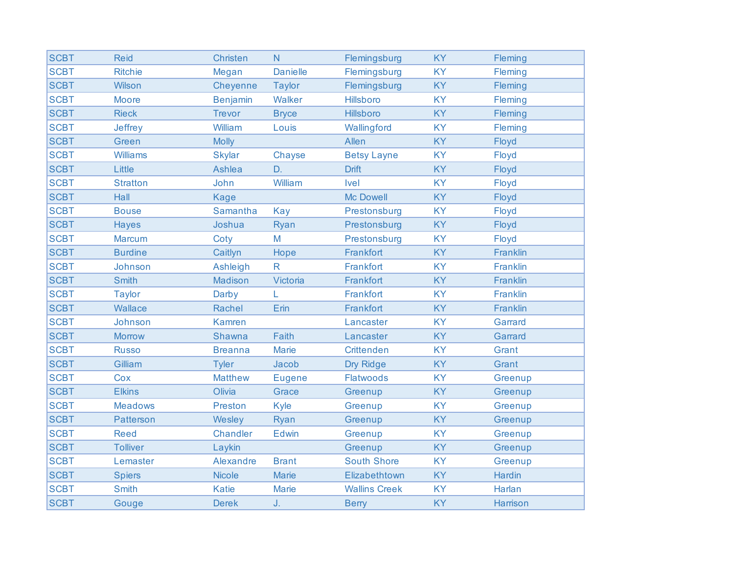| <b>SCBT</b> | <b>Reid</b>      | Christen        | N.              | Flemingsburg         | <b>KY</b> | Fleming       |
|-------------|------------------|-----------------|-----------------|----------------------|-----------|---------------|
| <b>SCBT</b> | <b>Ritchie</b>   | Megan           | <b>Danielle</b> | Flemingsburg         | <b>KY</b> | Fleming       |
| <b>SCBT</b> | Wilson           | Cheyenne        | <b>Taylor</b>   | Flemingsburg         | KY        | Fleming       |
| <b>SCBT</b> | <b>Moore</b>     | <b>Benjamin</b> | Walker          | <b>Hillsboro</b>     | <b>KY</b> | Fleming       |
| <b>SCBT</b> | <b>Rieck</b>     | <b>Trevor</b>   | <b>Bryce</b>    | Hillsboro            | <b>KY</b> | Fleming       |
| <b>SCBT</b> | Jeffrey          | William         | Louis           | Wallingford          | <b>KY</b> | Fleming       |
| <b>SCBT</b> | Green            | <b>Molly</b>    |                 | Allen                | KY        | Floyd         |
| <b>SCBT</b> | <b>Williams</b>  | <b>Skylar</b>   | Chayse          | <b>Betsy Layne</b>   | <b>KY</b> | Floyd         |
| <b>SCBT</b> | Little           | Ashlea          | D.              | <b>Drift</b>         | KY        | Floyd         |
| <b>SCBT</b> | <b>Stratton</b>  | John            | William         | Ivel                 | <b>KY</b> | Floyd         |
| <b>SCBT</b> | Hall             | <b>Kage</b>     |                 | <b>Mc Dowell</b>     | KY        | Floyd         |
| <b>SCBT</b> | <b>Bouse</b>     | Samantha        | <b>Kay</b>      | Prestonsburg         | <b>KY</b> | Floyd         |
| <b>SCBT</b> | <b>Hayes</b>     | Joshua          | Ryan            | Prestonsburg         | <b>KY</b> | Floyd         |
| <b>SCBT</b> | <b>Marcum</b>    | Coty            | M               | Prestonsburg         | <b>KY</b> | Floyd         |
| <b>SCBT</b> | <b>Burdine</b>   | Caitlyn         | Hope            | Frankfort            | <b>KY</b> | Franklin      |
| <b>SCBT</b> | Johnson          | Ashleigh        | $\mathsf{R}$    | Frankfort            | <b>KY</b> | Franklin      |
| <b>SCBT</b> | <b>Smith</b>     | Madison         | Victoria        | Frankfort            | <b>KY</b> | Franklin      |
| <b>SCBT</b> | <b>Taylor</b>    | Darby           | L               | Frankfort            | <b>KY</b> | Franklin      |
| <b>SCBT</b> | Wallace          | Rachel          | Erin            | Frankfort            | KY        | Franklin      |
| <b>SCBT</b> | Johnson          | <b>Kamren</b>   |                 | Lancaster            | <b>KY</b> | Garrard       |
| <b>SCBT</b> | <b>Morrow</b>    | Shawna          | Faith           | Lancaster            | <b>KY</b> | Garrard       |
| <b>SCBT</b> | <b>Russo</b>     | <b>Breanna</b>  | <b>Marie</b>    | <b>Crittenden</b>    | <b>KY</b> | Grant         |
| <b>SCBT</b> | Gilliam          | <b>Tyler</b>    | Jacob           | Dry Ridge            | KY        | Grant         |
| <b>SCBT</b> | Cox              | <b>Matthew</b>  | <b>Eugene</b>   | <b>Flatwoods</b>     | <b>KY</b> | Greenup       |
| <b>SCBT</b> | <b>Elkins</b>    | Olivia          | Grace           | Greenup              | <b>KY</b> | Greenup       |
| <b>SCBT</b> | <b>Meadows</b>   | Preston         | Kyle            | Greenup              | <b>KY</b> | Greenup       |
| <b>SCBT</b> | <b>Patterson</b> | Wesley          | Ryan            | Greenup              | KY        | Greenup       |
| <b>SCBT</b> | <b>Reed</b>      | Chandler        | Edwin           | Greenup              | KY        | Greenup       |
| <b>SCBT</b> | <b>Tolliver</b>  | Laykin          |                 | Greenup              | <b>KY</b> | Greenup       |
| <b>SCBT</b> | Lemaster         | Alexandre       | <b>Brant</b>    | <b>South Shore</b>   | <b>KY</b> | Greenup       |
| <b>SCBT</b> | <b>Spiers</b>    | <b>Nicole</b>   | <b>Marie</b>    | Elizabethtown        | <b>KY</b> | <b>Hardin</b> |
| <b>SCBT</b> | <b>Smith</b>     | <b>Katie</b>    | <b>Marie</b>    | <b>Wallins Creek</b> | KY        | Harlan        |
| <b>SCBT</b> | Gouge            | <b>Derek</b>    | J.              | <b>Berry</b>         | <b>KY</b> | Harrison      |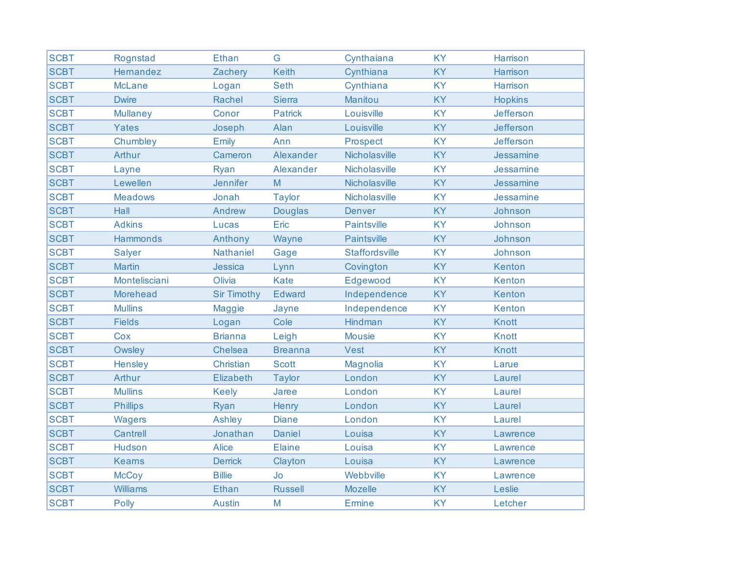| <b>SCBT</b> | Rognstad        | Ethan              | G              | Cynthaiana            | <b>KY</b> | Harrison       |
|-------------|-----------------|--------------------|----------------|-----------------------|-----------|----------------|
| <b>SCBT</b> | Hemandez        | Zachery            | <b>Keith</b>   | Cynthiana             | <b>KY</b> | Harrison       |
| <b>SCBT</b> | <b>McLane</b>   | Logan              | <b>Seth</b>    | Cynthiana             | <b>KY</b> | Harrison       |
| <b>SCBT</b> | <b>Dwire</b>    | <b>Rachel</b>      | <b>Sierra</b>  | <b>Manitou</b>        | <b>KY</b> | <b>Hopkins</b> |
| <b>SCBT</b> | <b>Mullaney</b> | Conor              | <b>Patrick</b> | Louisville            | <b>KY</b> | Jefferson      |
| <b>SCBT</b> | Yates           | Joseph             | Alan           | Louisville            | <b>KY</b> | Jefferson      |
| <b>SCBT</b> | Chumbley        | Emily              | Ann            | Prospect              | <b>KY</b> | Jefferson      |
| <b>SCBT</b> | Arthur          | Cameron            | Alexander      | Nicholasville         | <b>KY</b> | Jessamine      |
| <b>SCBT</b> | Layne           | Ryan               | Alexander      | Nicholasville         | <b>KY</b> | Jessamine      |
| <b>SCBT</b> | Lewellen        | <b>Jennifer</b>    | M              | Nicholasville         | <b>KY</b> | Jessamine      |
| <b>SCBT</b> | <b>Meadows</b>  | Jonah              | <b>Taylor</b>  | Nicholasville         | <b>KY</b> | Jessamine      |
| <b>SCBT</b> | Hall            | Andrew             | <b>Douglas</b> | <b>Denver</b>         | <b>KY</b> | Johnson        |
| <b>SCBT</b> | <b>Adkins</b>   | Lucas              | Eric           | <b>Paintsville</b>    | <b>KY</b> | Johnson        |
| <b>SCBT</b> | <b>Hammonds</b> | Anthony            | Wayne          | <b>Paintsville</b>    | <b>KY</b> | Johnson        |
| <b>SCBT</b> | <b>Salyer</b>   | Nathaniel          | Gage           | <b>Staffordsville</b> | <b>KY</b> | Johnson        |
| <b>SCBT</b> | <b>Martin</b>   | <b>Jessica</b>     | Lynn           | Covington             | <b>KY</b> | Kenton         |
| <b>SCBT</b> | Montelisciani   | Olivia             | Kate           | Edgewood              | <b>KY</b> | Kenton         |
| <b>SCBT</b> | Morehead        | <b>Sir Timothy</b> | <b>Edward</b>  | Independence          | <b>KY</b> | Kenton         |
| <b>SCBT</b> | <b>Mullins</b>  | <b>Maggie</b>      | Jayne          | Independence          | <b>KY</b> | Kenton         |
| <b>SCBT</b> | <b>Fields</b>   | Logan              | Cole           | Hindman               | <b>KY</b> | Knott          |
| <b>SCBT</b> | Cox             | <b>Brianna</b>     | Leigh          | <b>Mousie</b>         | <b>KY</b> | Knott          |
| <b>SCBT</b> | Owsley          | Chelsea            | <b>Breanna</b> | Vest                  | <b>KY</b> | Knott          |
| <b>SCBT</b> | Hensley         | Christian          | <b>Scott</b>   | <b>Magnolia</b>       | <b>KY</b> | Larue          |
| <b>SCBT</b> | Arthur          | Elizabeth          | <b>Taylor</b>  | London                | <b>KY</b> | Laurel         |
| <b>SCBT</b> | <b>Mullins</b>  | <b>Keely</b>       | Jaree          | London                | <b>KY</b> | Laurel         |
| <b>SCBT</b> | <b>Phillips</b> | Ryan               | Henry          | London                | <b>KY</b> | Laurel         |
| <b>SCBT</b> | <b>Wagers</b>   | Ashley             | <b>Diane</b>   | London                | <b>KY</b> | Laurel         |
| <b>SCBT</b> | Cantrell        | Jonathan           | <b>Daniel</b>  | Louisa                | <b>KY</b> | Lawrence       |
| <b>SCBT</b> | Hudson          | <b>Alice</b>       | <b>Elaine</b>  | Louisa                | <b>KY</b> | Lawrence       |
| <b>SCBT</b> | <b>Keams</b>    | <b>Derrick</b>     | Clayton        | Louisa                | <b>KY</b> | Lawrence       |
| <b>SCBT</b> | <b>McCoy</b>    | <b>Billie</b>      | Jo             | Webbville             | <b>KY</b> | Lawrence       |
| <b>SCBT</b> | <b>Williams</b> | <b>Ethan</b>       | <b>Russell</b> | <b>Mozelle</b>        | <b>KY</b> | Leslie         |
| <b>SCBT</b> | Polly           | <b>Austin</b>      | M              | <b>Ermine</b>         | <b>KY</b> | Letcher        |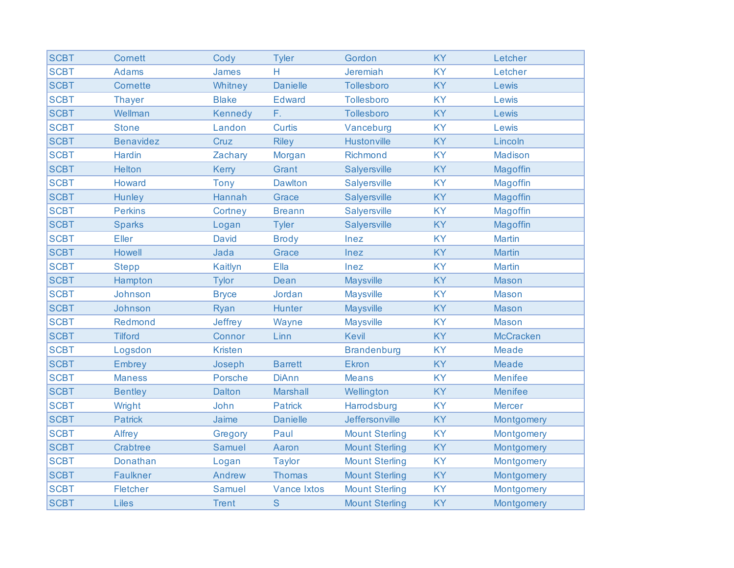| <b>SCBT</b> | <b>Cornett</b>   | Cody           | <b>Tyler</b>       | Gordon                | <b>KY</b> | Letcher          |
|-------------|------------------|----------------|--------------------|-----------------------|-----------|------------------|
| <b>SCBT</b> | <b>Adams</b>     | <b>James</b>   | Н                  | Jeremiah              | <b>KY</b> | Letcher          |
| <b>SCBT</b> | Cornette         | Whitney        | <b>Danielle</b>    | Tollesboro            | <b>KY</b> | Lewis            |
| <b>SCBT</b> | <b>Thayer</b>    | <b>Blake</b>   | <b>Edward</b>      | Tollesboro            | <b>KY</b> | Lewis            |
| <b>SCBT</b> | Wellman          | <b>Kennedy</b> | F.                 | Tollesboro            | <b>KY</b> | Lewis            |
| <b>SCBT</b> | <b>Stone</b>     | Landon         | <b>Curtis</b>      | Vanceburg             | <b>KY</b> | Lewis            |
| <b>SCBT</b> | <b>Benavidez</b> | Cruz           | <b>Riley</b>       | <b>Hustonville</b>    | <b>KY</b> | Lincoln          |
| <b>SCBT</b> | <b>Hardin</b>    | Zachary        | Morgan             | Richmond              | <b>KY</b> | <b>Madison</b>   |
| <b>SCBT</b> | Helton           | Kerry          | Grant              | <b>Salyersville</b>   | <b>KY</b> | Magoffin         |
| <b>SCBT</b> | Howard           | <b>Tony</b>    | <b>Dawlton</b>     | <b>Salyersville</b>   | <b>KY</b> | Magoffin         |
| <b>SCBT</b> | <b>Hunley</b>    | <b>Hannah</b>  | Grace              | <b>Salyersville</b>   | <b>KY</b> | Magoffin         |
| <b>SCBT</b> | <b>Perkins</b>   | Cortney        | <b>Breann</b>      | Salyersville          | <b>KY</b> | Magoffin         |
| <b>SCBT</b> | <b>Sparks</b>    | Logan          | <b>Tyler</b>       | <b>Salyersville</b>   | <b>KY</b> | Magoffin         |
| <b>SCBT</b> | Eller            | <b>David</b>   | <b>Brody</b>       | Inez                  | <b>KY</b> | <b>Martin</b>    |
| <b>SCBT</b> | Howell           | Jada           | Grace              | Inez                  | <b>KY</b> | <b>Martin</b>    |
| <b>SCBT</b> | <b>Stepp</b>     | Kaitlyn        | Ella               | Inez                  | <b>KY</b> | <b>Martin</b>    |
| <b>SCBT</b> | Hampton          | <b>Tylor</b>   | Dean               | <b>Maysville</b>      | <b>KY</b> | <b>Mason</b>     |
| <b>SCBT</b> | Johnson          | <b>Bryce</b>   | Jordan             | <b>Maysville</b>      | <b>KY</b> | <b>Mason</b>     |
| <b>SCBT</b> | Johnson          | Ryan           | <b>Hunter</b>      | <b>Maysville</b>      | <b>KY</b> | <b>Mason</b>     |
| <b>SCBT</b> | Redmond          | <b>Jeffrey</b> | Wayne              | <b>Maysville</b>      | <b>KY</b> | <b>Mason</b>     |
| <b>SCBT</b> | <b>Tilford</b>   | Connor         | Linn               | <b>Kevil</b>          | <b>KY</b> | <b>McCracken</b> |
| <b>SCBT</b> | Logsdon          | <b>Kristen</b> |                    | <b>Brandenburg</b>    | <b>KY</b> | <b>Meade</b>     |
| <b>SCBT</b> | Embrey           | Joseph         | <b>Barrett</b>     | <b>Ekron</b>          | <b>KY</b> | <b>Meade</b>     |
| <b>SCBT</b> | <b>Maness</b>    | Porsche        | <b>DiAnn</b>       | <b>Means</b>          | <b>KY</b> | <b>Menifee</b>   |
| <b>SCBT</b> | <b>Bentley</b>   | Dalton         | <b>Marshall</b>    | Wellington            | <b>KY</b> | <b>Menifee</b>   |
| <b>SCBT</b> | Wright           | John           | <b>Patrick</b>     | Harrodsburg           | <b>KY</b> | <b>Mercer</b>    |
| <b>SCBT</b> | <b>Patrick</b>   | Jaime          | <b>Danielle</b>    | Jeffersonville        | <b>KY</b> | Montgomery       |
| <b>SCBT</b> | Alfrey           | Gregory        | Paul               | <b>Mount Sterling</b> | <b>KY</b> | Montgomery       |
| <b>SCBT</b> | Crabtree         | <b>Samuel</b>  | Aaron              | <b>Mount Sterling</b> | <b>KY</b> | Montgomery       |
| <b>SCBT</b> | Donathan         | Logan          | <b>Taylor</b>      | <b>Mount Sterling</b> | <b>KY</b> | Montgomery       |
| <b>SCBT</b> | <b>Faulkner</b>  | Andrew         | <b>Thomas</b>      | <b>Mount Sterling</b> | <b>KY</b> | Montgomery       |
| <b>SCBT</b> | Fletcher         | <b>Samuel</b>  | <b>Vance Ixtos</b> | <b>Mount Sterling</b> | <b>KY</b> | Montgomery       |
| <b>SCBT</b> | Liles            | <b>Trent</b>   | $\mathbf S$        | <b>Mount Sterling</b> | KY        | Montgomery       |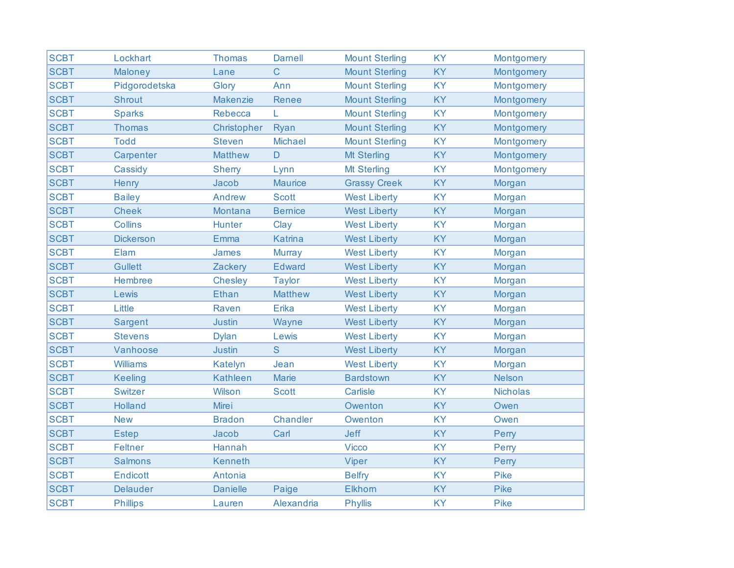| <b>SCBT</b> | Lockhart         | <b>Thomas</b>   | <b>Damell</b>  | <b>Mount Sterling</b> | <b>KY</b> | Montgomery      |
|-------------|------------------|-----------------|----------------|-----------------------|-----------|-----------------|
| <b>SCBT</b> | Maloney          | Lane            | $\overline{C}$ | <b>Mount Sterling</b> | <b>KY</b> | Montgomery      |
| <b>SCBT</b> | Pidgorodetska    | Glory           | Ann            | <b>Mount Sterling</b> | <b>KY</b> | Montgomery      |
| <b>SCBT</b> | <b>Shrout</b>    | <b>Makenzie</b> | <b>Renee</b>   | <b>Mount Sterling</b> | <b>KY</b> | Montgomery      |
| <b>SCBT</b> | <b>Sparks</b>    | Rebecca         | L              | <b>Mount Sterling</b> | <b>KY</b> | Montgomery      |
| <b>SCBT</b> | <b>Thomas</b>    | Christopher     | Ryan           | <b>Mount Sterling</b> | <b>KY</b> | Montgomery      |
| <b>SCBT</b> | <b>Todd</b>      | <b>Steven</b>   | <b>Michael</b> | <b>Mount Sterling</b> | <b>KY</b> | Montgomery      |
| <b>SCBT</b> | Carpenter        | <b>Matthew</b>  | $\mathsf{D}$   | <b>Mt Sterling</b>    | <b>KY</b> | Montgomery      |
| <b>SCBT</b> | Cassidy          | <b>Sherry</b>   | Lynn           | Mt Sterling           | <b>KY</b> | Montgomery      |
| <b>SCBT</b> | Henry            | Jacob           | <b>Maurice</b> | <b>Grassy Creek</b>   | <b>KY</b> | Morgan          |
| <b>SCBT</b> | <b>Bailey</b>    | Andrew          | <b>Scott</b>   | <b>West Liberty</b>   | <b>KY</b> | Morgan          |
| <b>SCBT</b> | <b>Cheek</b>     | <b>Montana</b>  | <b>Bernice</b> | <b>West Liberty</b>   | <b>KY</b> | Morgan          |
| <b>SCBT</b> | <b>Collins</b>   | <b>Hunter</b>   | Clay           | <b>West Liberty</b>   | <b>KY</b> | Morgan          |
| <b>SCBT</b> | <b>Dickerson</b> | Emma            | <b>Katrina</b> | <b>West Liberty</b>   | <b>KY</b> | Morgan          |
| <b>SCBT</b> | Elam             | <b>James</b>    | <b>Murray</b>  | <b>West Liberty</b>   | <b>KY</b> | Morgan          |
| <b>SCBT</b> | <b>Gullett</b>   | Zackery         | <b>Edward</b>  | <b>West Liberty</b>   | <b>KY</b> | Morgan          |
| <b>SCBT</b> | Hembree          | <b>Chesley</b>  | <b>Taylor</b>  | <b>West Liberty</b>   | <b>KY</b> | Morgan          |
| <b>SCBT</b> | Lewis            | Ethan           | <b>Matthew</b> | <b>West Liberty</b>   | <b>KY</b> | Morgan          |
| <b>SCBT</b> | Little           | Raven           | Erika          | <b>West Liberty</b>   | <b>KY</b> | Morgan          |
| <b>SCBT</b> | Sargent          | <b>Justin</b>   | Wayne          | <b>West Liberty</b>   | <b>KY</b> | Morgan          |
| <b>SCBT</b> | <b>Stevens</b>   | <b>Dylan</b>    | Lewis          | <b>West Liberty</b>   | <b>KY</b> | Morgan          |
| <b>SCBT</b> | Vanhoose         | <b>Justin</b>   | S              | <b>West Liberty</b>   | <b>KY</b> | Morgan          |
| <b>SCBT</b> | <b>Williams</b>  | <b>Katelyn</b>  | Jean           | <b>West Liberty</b>   | <b>KY</b> | Morgan          |
| <b>SCBT</b> | <b>Keeling</b>   | <b>Kathleen</b> | Marie          | <b>Bardstown</b>      | KY        | <b>Nelson</b>   |
| <b>SCBT</b> | <b>Switzer</b>   | Wilson          | <b>Scott</b>   | <b>Carlisle</b>       | <b>KY</b> | <b>Nicholas</b> |
| <b>SCBT</b> | <b>Holland</b>   | Mirei           |                | Owenton               | <b>KY</b> | Owen            |
| <b>SCBT</b> | <b>New</b>       | <b>Bradon</b>   | Chandler       | Owenton               | <b>KY</b> | Owen            |
| <b>SCBT</b> | <b>Estep</b>     | Jacob           | Carl           | Jeff                  | <b>KY</b> | Perry           |
| <b>SCBT</b> | <b>Feltner</b>   | Hannah          |                | <b>Vicco</b>          | <b>KY</b> | Perry           |
| <b>SCBT</b> | <b>Salmons</b>   | <b>Kenneth</b>  |                | Viper                 | <b>KY</b> | Perry           |
| <b>SCBT</b> | Endicott         | Antonia         |                | <b>Belfry</b>         | <b>KY</b> | <b>Pike</b>     |
| <b>SCBT</b> | <b>Delauder</b>  | <b>Danielle</b> | Paige          | <b>Elkhorn</b>        | KY        | Pike            |
| <b>SCBT</b> | <b>Phillips</b>  | Lauren          | Alexandria     | <b>Phyllis</b>        | <b>KY</b> | <b>Pike</b>     |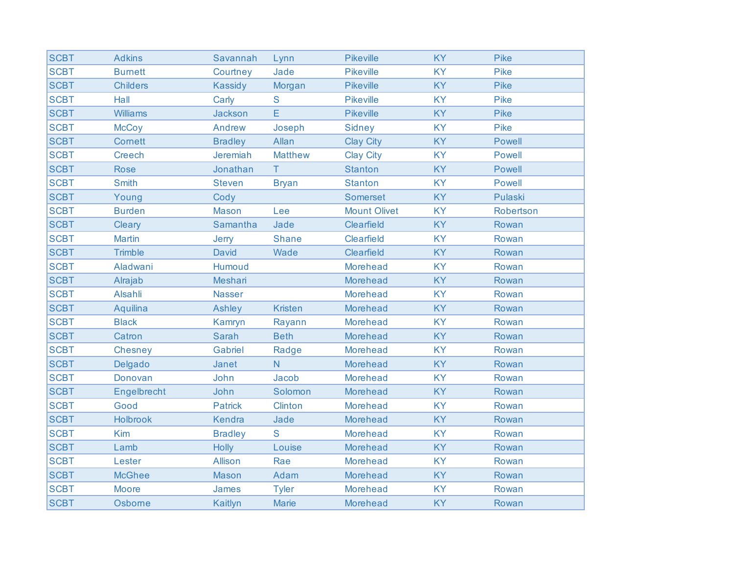| <b>SCBT</b> | <b>Adkins</b>   | Savannah       | Lynn           | <b>Pikeville</b>    | <b>KY</b> | Pike          |
|-------------|-----------------|----------------|----------------|---------------------|-----------|---------------|
| <b>SCBT</b> | <b>Burnett</b>  | Courtney       | Jade           | <b>Pikeville</b>    | <b>KY</b> | Pike          |
| <b>SCBT</b> | <b>Childers</b> | <b>Kassidy</b> | Morgan         | <b>Pikeville</b>    | <b>KY</b> | Pike          |
| <b>SCBT</b> | Hall            | Carly          | ${\mathsf S}$  | <b>Pikeville</b>    | <b>KY</b> | <b>Pike</b>   |
| <b>SCBT</b> | <b>Williams</b> | Jackson        | E              | Pikeville           | <b>KY</b> | Pike          |
| <b>SCBT</b> | <b>McCoy</b>    | Andrew         | Joseph         | <b>Sidney</b>       | <b>KY</b> | Pike          |
| <b>SCBT</b> | <b>Cornett</b>  | <b>Bradley</b> | Allan          | <b>Clay City</b>    | <b>KY</b> | <b>Powell</b> |
| <b>SCBT</b> | <b>Creech</b>   | Jeremiah       | <b>Matthew</b> | <b>Clay City</b>    | <b>KY</b> | <b>Powell</b> |
| <b>SCBT</b> | <b>Rose</b>     | Jonathan       | T.             | <b>Stanton</b>      | <b>KY</b> | Powell        |
| <b>SCBT</b> | <b>Smith</b>    | <b>Steven</b>  | <b>Bryan</b>   | <b>Stanton</b>      | <b>KY</b> | <b>Powell</b> |
| <b>SCBT</b> | Young           | Cody           |                | <b>Somerset</b>     | <b>KY</b> | Pulaski       |
| <b>SCBT</b> | <b>Burden</b>   | <b>Mason</b>   | Lee            | <b>Mount Olivet</b> | <b>KY</b> | Robertson     |
| <b>SCBT</b> | Cleary          | Samantha       | Jade           | Clearfield          | <b>KY</b> | Rowan         |
| <b>SCBT</b> | <b>Martin</b>   | Jerry          | <b>Shane</b>   | Clearfield          | <b>KY</b> | Rowan         |
| <b>SCBT</b> | <b>Trimble</b>  | <b>David</b>   | Wade           | Clearfield          | <b>KY</b> | Rowan         |
| <b>SCBT</b> | Aladwani        | Humoud         |                | <b>Morehead</b>     | <b>KY</b> | Rowan         |
| <b>SCBT</b> | Alrajab         | Meshari        |                | <b>Morehead</b>     | <b>KY</b> | Rowan         |
| <b>SCBT</b> | Alsahli         | <b>Nasser</b>  |                | <b>Morehead</b>     | <b>KY</b> | Rowan         |
| <b>SCBT</b> | Aquilina        | Ashley         | <b>Kristen</b> | <b>Morehead</b>     | KY        | Rowan         |
| <b>SCBT</b> | <b>Black</b>    | Kamryn         | Rayann         | <b>Morehead</b>     | <b>KY</b> | Rowan         |
| <b>SCBT</b> | Catron          | <b>Sarah</b>   | <b>Beth</b>    | <b>Morehead</b>     | <b>KY</b> | Rowan         |
| <b>SCBT</b> | Chesney         | Gabriel        | Radge          | <b>Morehead</b>     | <b>KY</b> | Rowan         |
| <b>SCBT</b> | Delgado         | Janet          | N.             | <b>Morehead</b>     | <b>KY</b> | Rowan         |
| <b>SCBT</b> | Donovan         | John           | Jacob          | <b>Morehead</b>     | <b>KY</b> | Rowan         |
| <b>SCBT</b> | Engelbrecht     | John           | Solomon        | <b>Morehead</b>     | <b>KY</b> | Rowan         |
| <b>SCBT</b> | Good            | <b>Patrick</b> | <b>Clinton</b> | <b>Morehead</b>     | <b>KY</b> | Rowan         |
| <b>SCBT</b> | Holbrook        | Kendra         | Jade           | <b>Morehead</b>     | <b>KY</b> | Rowan         |
| <b>SCBT</b> | Kim             | <b>Bradley</b> | S              | <b>Morehead</b>     | <b>KY</b> | Rowan         |
| <b>SCBT</b> | Lamb            | <b>Holly</b>   | Louise         | <b>Morehead</b>     | <b>KY</b> | Rowan         |
| <b>SCBT</b> | Lester          | <b>Allison</b> | Rae            | <b>Morehead</b>     | <b>KY</b> | Rowan         |
| <b>SCBT</b> | <b>McGhee</b>   | <b>Mason</b>   | Adam           | <b>Morehead</b>     | <b>KY</b> | Rowan         |
| <b>SCBT</b> | <b>Moore</b>    | James          | <b>Tyler</b>   | <b>Morehead</b>     | <b>KY</b> | Rowan         |
| <b>SCBT</b> | Osborne         | Kaitlyn        | <b>Marie</b>   | <b>Morehead</b>     | <b>KY</b> | Rowan         |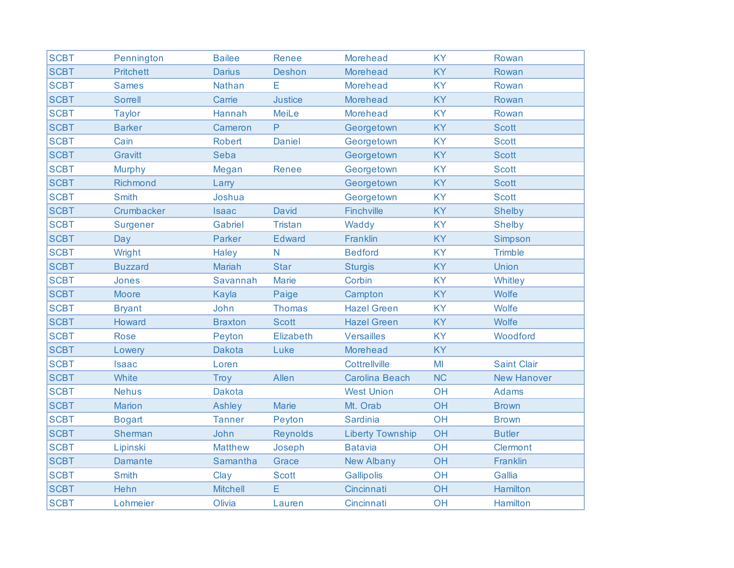| <b>SCBT</b> | Pennington       | <b>Bailee</b>   | Renee           | <b>Morehead</b>         | <b>KY</b> | Rowan              |
|-------------|------------------|-----------------|-----------------|-------------------------|-----------|--------------------|
| <b>SCBT</b> | <b>Pritchett</b> | <b>Darius</b>   | <b>Deshon</b>   | <b>Morehead</b>         | <b>KY</b> | Rowan              |
| <b>SCBT</b> | <b>Sames</b>     | Nathan          | E               | <b>Morehead</b>         | <b>KY</b> | Rowan              |
| <b>SCBT</b> | <b>Sorrell</b>   | Carrie          | <b>Justice</b>  | <b>Morehead</b>         | <b>KY</b> | Rowan              |
| <b>SCBT</b> | <b>Taylor</b>    | Hannah          | MeiLe           | <b>Morehead</b>         | <b>KY</b> | Rowan              |
| <b>SCBT</b> | <b>Barker</b>    | Cameron         | P               | Georgetown              | <b>KY</b> | <b>Scott</b>       |
| <b>SCBT</b> | Cain             | <b>Robert</b>   | <b>Daniel</b>   | Georgetown              | <b>KY</b> | <b>Scott</b>       |
| <b>SCBT</b> | Gravitt          | Seba            |                 | Georgetown              | <b>KY</b> | <b>Scott</b>       |
| <b>SCBT</b> | <b>Murphy</b>    | Megan           | Renee           | Georgetown              | <b>KY</b> | <b>Scott</b>       |
| <b>SCBT</b> | Richmond         | Larry           |                 | Georgetown              | <b>KY</b> | <b>Scott</b>       |
| <b>SCBT</b> | <b>Smith</b>     | Joshua          |                 | Georgetown              | <b>KY</b> | <b>Scott</b>       |
| <b>SCBT</b> | Crumbacker       | <b>Isaac</b>    | <b>David</b>    | <b>Finchville</b>       | <b>KY</b> | <b>Shelby</b>      |
| <b>SCBT</b> | Surgener         | Gabriel         | <b>Tristan</b>  | Waddy                   | <b>KY</b> | <b>Shelby</b>      |
| <b>SCBT</b> | Day              | <b>Parker</b>   | <b>Edward</b>   | Franklin                | <b>KY</b> | Simpson            |
| <b>SCBT</b> | Wright           | <b>Haley</b>    | $\mathsf{N}$    | <b>Bedford</b>          | <b>KY</b> | <b>Trimble</b>     |
| <b>SCBT</b> | <b>Buzzard</b>   | <b>Mariah</b>   | <b>Star</b>     | <b>Sturgis</b>          | <b>KY</b> | Union              |
| <b>SCBT</b> | Jones            | Savannah        | <b>Marie</b>    | Corbin                  | <b>KY</b> | Whitley            |
| <b>SCBT</b> | <b>Moore</b>     | Kayla           | Paige           | Campton                 | <b>KY</b> | Wolfe              |
| <b>SCBT</b> | <b>Bryant</b>    | John            | <b>Thomas</b>   | <b>Hazel Green</b>      | <b>KY</b> | Wolfe              |
| <b>SCBT</b> | Howard           | <b>Braxton</b>  | <b>Scott</b>    | <b>Hazel Green</b>      | <b>KY</b> | Wolfe              |
| <b>SCBT</b> | <b>Rose</b>      | Peyton          | Elizabeth       | <b>Versailles</b>       | <b>KY</b> | Woodford           |
| <b>SCBT</b> | Lowery           | <b>Dakota</b>   | Luke            | <b>Morehead</b>         | <b>KY</b> |                    |
| <b>SCBT</b> | <b>Isaac</b>     | Loren           |                 | Cottrellville           | MI        | <b>Saint Clair</b> |
| <b>SCBT</b> | White            | Troy            | Allen           | <b>Carolina Beach</b>   | <b>NC</b> | <b>New Hanover</b> |
| <b>SCBT</b> | <b>Nehus</b>     | <b>Dakota</b>   |                 | <b>West Union</b>       | OH        | <b>Adams</b>       |
| <b>SCBT</b> | <b>Marion</b>    | Ashley          | <b>Marie</b>    | Mt. Orab                | OH        | <b>Brown</b>       |
| <b>SCBT</b> | <b>Bogart</b>    | <b>Tanner</b>   | Peyton          | <b>Sardinia</b>         | OH        | <b>Brown</b>       |
| <b>SCBT</b> | Sherman          | John            | <b>Reynolds</b> | <b>Liberty Township</b> | OH        | <b>Butler</b>      |
| <b>SCBT</b> | Lipinski         | <b>Matthew</b>  | Joseph          | <b>Batavia</b>          | OH        | Clermont           |
| <b>SCBT</b> | <b>Damante</b>   | Samantha        | Grace           | <b>New Albany</b>       | OH        | Franklin           |
| <b>SCBT</b> | <b>Smith</b>     | Clay            | <b>Scott</b>    | <b>Gallipolis</b>       | OH        | Gallia             |
| <b>SCBT</b> | Hehn             | <b>Mitchell</b> | E               | Cincinnati              | OH        | Hamilton           |
| <b>SCBT</b> | Lohmeier         | Olivia          | Lauren          | Cincinnati              | OH        | Hamilton           |